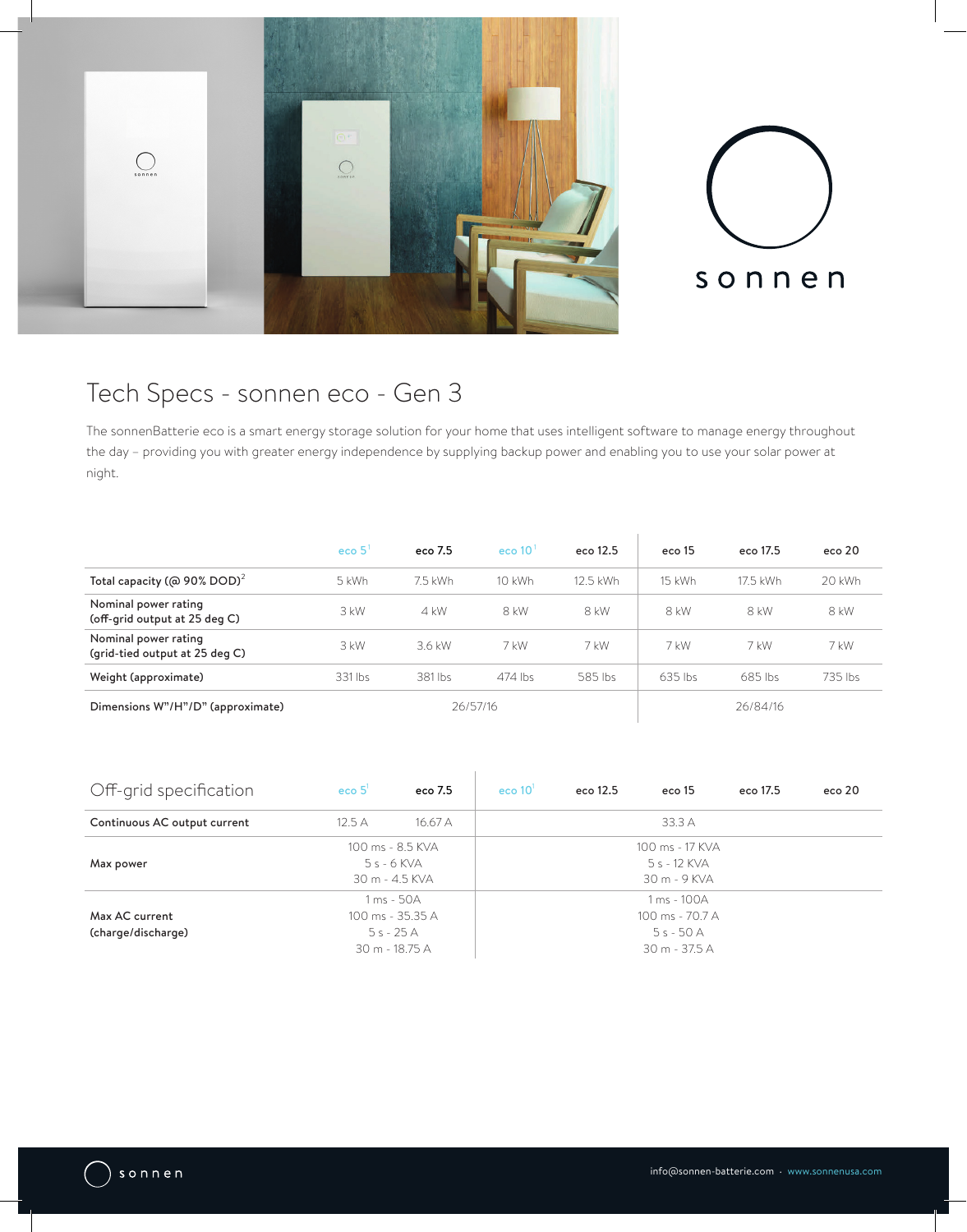

# Tech Specs - sonnen eco - Gen 3

The sonnenBatterie eco is a smart energy storage solution for your home that uses intelligent software to manage energy throughout the day – providing you with greater energy independence by supplying backup power and enabling you to use your solar power at night.

|                                                        | eco <sub>5</sub> | eco 7.5 | eco $101$ | eco 12.5 | eco 15    | eco 17.5 | eco 20  |
|--------------------------------------------------------|------------------|---------|-----------|----------|-----------|----------|---------|
| Total capacity (@ 90% DOD) <sup>2</sup>                | 5 kWh            | 7.5 kWh | 10 kWh    | 12.5 kWh | 15 kWh    | 17.5 kWh | 20 kWh  |
| Nominal power rating<br>(off-grid output at 25 deg C)  | 3 kW             | $4$ kW  | 8 kW      | 8 kW     | 8 kW      | 8 kW     | 8 kW    |
| Nominal power rating<br>(grid-tied output at 25 deg C) | $3$ kW           | 3.6 kW  | 7 kW      | 7 kW     | 7 kW      | 7 kW     | 7 kW    |
| Weight (approximate)                                   | 331 lbs          | 381 lbs | 474 lbs   | 585 lbs  | $635$ lbs | 685 lbs  | 735 lbs |
| Dimensions W"/H"/D" (approximate)                      | 26/57/16         |         |           | 26/84/16 |           |          |         |

| Off-grid specification               | $e$ co $51$                                                    | eco 7.5 | eco $101$                                                     | eco 12.5 | eco 15 | eco 17.5 | eco 20 |
|--------------------------------------|----------------------------------------------------------------|---------|---------------------------------------------------------------|----------|--------|----------|--------|
| Continuous AC output current         | 12.5A                                                          | 16.67A  |                                                               |          | 33.3 A |          |        |
| Max power                            | 100 ms - 8.5 KVA<br>$5s - 6$ KVA<br>30 m - 4.5 KVA             |         | 100 ms - 17 KVA<br>5 s - 12 KVA<br>30 m - 9 KVA               |          |        |          |        |
| Max AC current<br>(charge/discharge) | 1 ms - 50A<br>100 ms - 35.35 A<br>$5s - 25A$<br>30 m - 18.75 A |         | 1 ms - 100A<br>100 ms - 70.7 A<br>$5s - 50A$<br>30 m - 37.5 A |          |        |          |        |